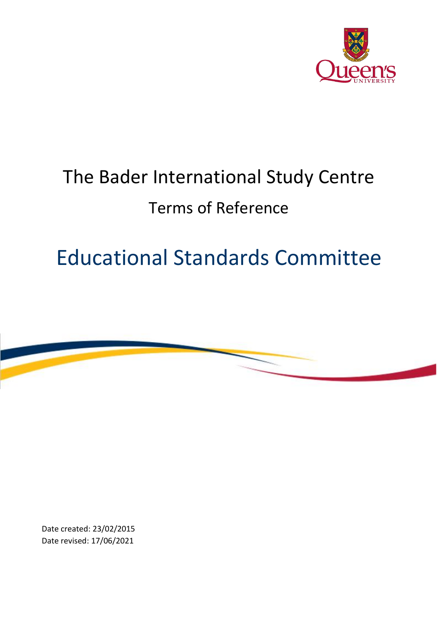

## The Bader International Study Centre Terms of Reference

## Educational Standards Committee



Date created: 23/02/2015 Date revised: 17/06/2021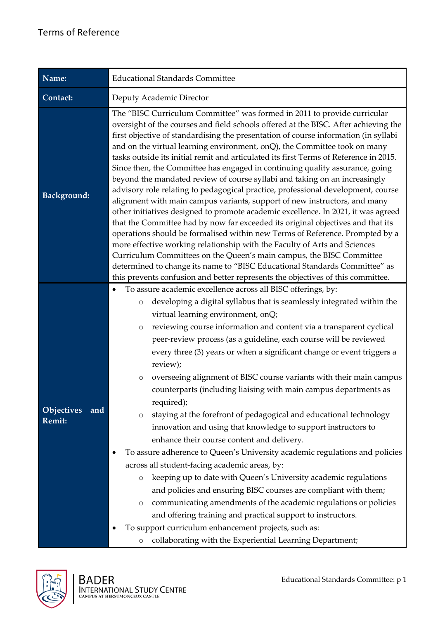| Name:                                     | <b>Educational Standards Committee</b>                                                                                                                                                                                                                                                                                                                                                                                                                                                                                                                                                                                                                                                                                                                                                                                                                                                                                                                                                                                                                                                                                                                                                                                                                                                                                                                            |  |
|-------------------------------------------|-------------------------------------------------------------------------------------------------------------------------------------------------------------------------------------------------------------------------------------------------------------------------------------------------------------------------------------------------------------------------------------------------------------------------------------------------------------------------------------------------------------------------------------------------------------------------------------------------------------------------------------------------------------------------------------------------------------------------------------------------------------------------------------------------------------------------------------------------------------------------------------------------------------------------------------------------------------------------------------------------------------------------------------------------------------------------------------------------------------------------------------------------------------------------------------------------------------------------------------------------------------------------------------------------------------------------------------------------------------------|--|
| Contact:                                  | Deputy Academic Director                                                                                                                                                                                                                                                                                                                                                                                                                                                                                                                                                                                                                                                                                                                                                                                                                                                                                                                                                                                                                                                                                                                                                                                                                                                                                                                                          |  |
| <b>Background:</b>                        | The "BISC Curriculum Committee" was formed in 2011 to provide curricular<br>oversight of the courses and field schools offered at the BISC. After achieving the<br>first objective of standardising the presentation of course information (in syllabi<br>and on the virtual learning environment, onQ), the Committee took on many<br>tasks outside its initial remit and articulated its first Terms of Reference in 2015.<br>Since then, the Committee has engaged in continuing quality assurance, going<br>beyond the mandated review of course syllabi and taking on an increasingly<br>advisory role relating to pedagogical practice, professional development, course<br>alignment with main campus variants, support of new instructors, and many<br>other initiatives designed to promote academic excellence. In 2021, it was agreed<br>that the Committee had by now far exceeded its original objectives and that its<br>operations should be formalised within new Terms of Reference. Prompted by a<br>more effective working relationship with the Faculty of Arts and Sciences<br>Curriculum Committees on the Queen's main campus, the BISC Committee<br>determined to change its name to "BISC Educational Standards Committee" as<br>this prevents confusion and better represents the objectives of this committee.                         |  |
| <b>Objectives</b><br>and<br><b>Remit:</b> | To assure academic excellence across all BISC offerings, by:<br>$\bullet$<br>developing a digital syllabus that is seamlessly integrated within the<br>$\circ$<br>virtual learning environment, onQ;<br>reviewing course information and content via a transparent cyclical<br>O<br>peer-review process (as a guideline, each course will be reviewed<br>every three (3) years or when a significant change or event triggers a<br>review);<br>overseeing alignment of BISC course variants with their main campus<br>$\circ$<br>counterparts (including liaising with main campus departments as<br>required);<br>staying at the forefront of pedagogical and educational technology<br>O<br>innovation and using that knowledge to support instructors to<br>enhance their course content and delivery.<br>To assure adherence to Queen's University academic regulations and policies<br>across all student-facing academic areas, by:<br>keeping up to date with Queen's University academic regulations<br>O<br>and policies and ensuring BISC courses are compliant with them;<br>communicating amendments of the academic regulations or policies<br>$\circ$<br>and offering training and practical support to instructors.<br>To support curriculum enhancement projects, such as:<br>collaborating with the Experiential Learning Department;<br>$\circ$ |  |

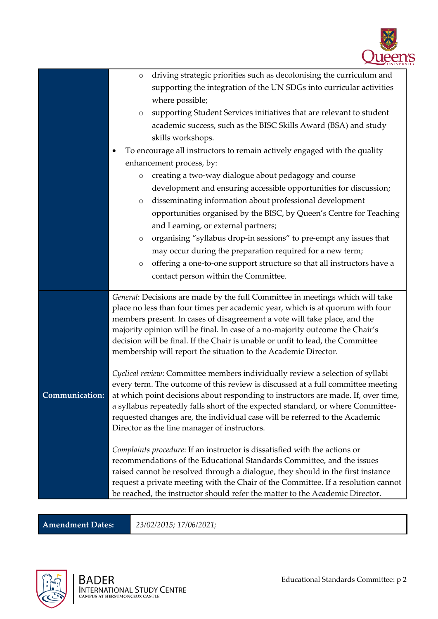

|                | driving strategic priorities such as decolonising the curriculum and<br>$\circ$                                                                            |
|----------------|------------------------------------------------------------------------------------------------------------------------------------------------------------|
|                | supporting the integration of the UN SDGs into curricular activities                                                                                       |
|                | where possible;                                                                                                                                            |
|                | supporting Student Services initiatives that are relevant to student<br>$\circ$                                                                            |
|                | academic success, such as the BISC Skills Award (BSA) and study                                                                                            |
|                | skills workshops.                                                                                                                                          |
|                | To encourage all instructors to remain actively engaged with the quality<br>٠                                                                              |
|                | enhancement process, by:                                                                                                                                   |
|                | creating a two-way dialogue about pedagogy and course<br>$\circ$                                                                                           |
|                | development and ensuring accessible opportunities for discussion;                                                                                          |
|                | disseminating information about professional development<br>$\circ$                                                                                        |
|                | opportunities organised by the BISC, by Queen's Centre for Teaching                                                                                        |
|                | and Learning, or external partners;                                                                                                                        |
|                | organising "syllabus drop-in sessions" to pre-empt any issues that<br>$\circ$                                                                              |
|                | may occur during the preparation required for a new term;                                                                                                  |
|                | offering a one-to-one support structure so that all instructors have a<br>$\circ$                                                                          |
|                | contact person within the Committee.                                                                                                                       |
|                | General: Decisions are made by the full Committee in meetings which will take                                                                              |
|                | place no less than four times per academic year, which is at quorum with four<br>members present. In cases of disagreement a vote will take place, and the |
|                | majority opinion will be final. In case of a no-majority outcome the Chair's                                                                               |
|                | decision will be final. If the Chair is unable or unfit to lead, the Committee                                                                             |
|                | membership will report the situation to the Academic Director.                                                                                             |
|                | Cyclical review: Committee members individually review a selection of syllabi                                                                              |
|                | every term. The outcome of this review is discussed at a full committee meeting                                                                            |
| Communication: | at which point decisions about responding to instructors are made. If, over time,                                                                          |
|                | a syllabus repeatedly falls short of the expected standard, or where Committee-                                                                            |
|                | requested changes are, the individual case will be referred to the Academic<br>Director as the line manager of instructors.                                |
|                |                                                                                                                                                            |
|                | Complaints procedure: If an instructor is dissatisfied with the actions or                                                                                 |
|                | recommendations of the Educational Standards Committee, and the issues<br>raised cannot be resolved through a dialogue, they should in the first instance  |
|                | request a private meeting with the Chair of the Committee. If a resolution cannot                                                                          |
|                |                                                                                                                                                            |

**Amendment Dates:** *23/02/2015; 17/06/2021;*